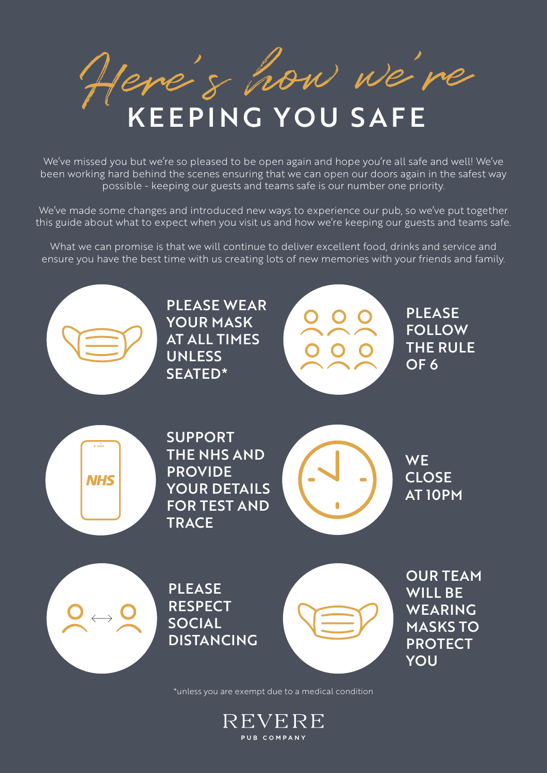Here's how we're KEEPING YOU SAFE

We've missed you but we're so pleased to be open again and hope you're all safe and well! We've been working hard behind the scenes ensuring that we can open our doors again in the safest way possible - keeping our guests and teams safe is our number one priority.

We've made some changes and introduced new ways to experience our pub, so we've put together this guide about what to expect when you visit us and how we're keeping our guests and teams safe.

What we can promise is that we will continue to deliver excellent food, drinks and service and ensure you have the best time with us creating lots of new memories with your friends and family.



PLEASE WEAR YOUR MASK AT ALL TIMES UNLESS SEATED\*



PLEASE FOLLOW THE RULE OF 6



SUPPORT THE NHS AND PROVIDE YOUR DETAILS FOR TEST AND **TRACE** 



**WE** CLOSE AT 10PM



PLEASE **RESPECT** SOCIAL DISTANCING



OUR TEAM WILL BE WEARING MASKS TO PROTECT YOU

\*unless you are exempt due to a medical condition

REVERE PUB COMPANY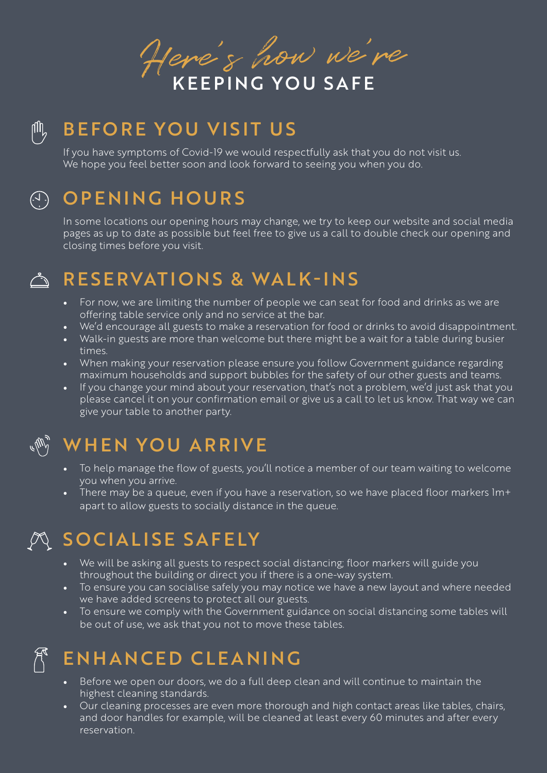Here's how we're

# $\mathbb{M}_{2}$

# BEFORE YOU VISIT US

If you have symptoms of Covid-19 we would respectfully ask that you do not visit us. We hope you feel better soon and look forward to seeing you when you do.

#### $\overline{(\cdot)}$

# OPENING HOURS

In some locations our opening hours may change, we try to keep our website and social media pages as up to date as possible but feel free to give us a call to double check our opening and closing times before you visit.

#### $\sim$

# RESERVATIONS & WALK-INS

- For now, we are limiting the number of people we can seat for food and drinks as we are offering table service only and no service at the bar.
- We'd encourage all guests to make a reservation for food or drinks to avoid disappointment.
- Walk-in guests are more than welcome but there might be a wait for a table during busier times.
- When making your reservation please ensure you follow Government guidance regarding maximum households and support bubbles for the safety of our other guests and teams.
- If you change your mind about your reservation, that's not a problem, we'd just ask that you please cancel it on your confirmation email or give us a call to let us know. That way we can give your table to another party.

# WHEN YOU ARRIVE

- To help manage the flow of guests, you'll notice a member of our team waiting to welcome you when you arrive.
- There may be a queue, even if you have a reservation, so we have placed floor markers lm+ apart to allow guests to socially distance in the queue.

# SOCIALISE SAFELY

- We will be asking all guests to respect social distancing; floor markers will guide you throughout the building or direct you if there is a one-way system.
- To ensure you can socialise safely you may notice we have a new layout and where needed we have added screens to protect all our guests.
- To ensure we comply with the Government guidance on social distancing some tables will be out of use, we ask that you not to move these tables.

# ENHANCED CLEANING

- Before we open our doors, we do a full deep clean and will continue to maintain the highest cleaning standards.
- Our cleaning processes are even more thorough and high contact areas like tables, chairs, and door handles for example, will be cleaned at least every 60 minutes and after every reservation.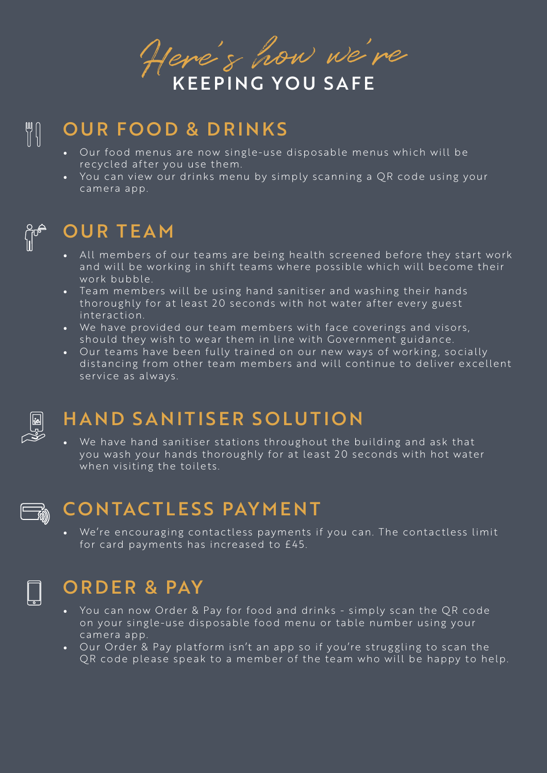Here's how we're

# OUR FOOD & DRINKS

- Our food menus are now single-use disposable menus which will be recycled after you use them.
- You can view our drinks menu by simply scanning a OR code using your camera app.



 $\begin{bmatrix} 0 \\ 1 \\ 0 \end{bmatrix}$ 

## OUR TEAM

- All members of our teams are being health screened before they start work and will be working in shift teams where possible which will become their work bubble.
- Team members will be using hand sanitiser and washing their hands thoroughly for at least 20 seconds with hot water after every guest interaction.
- We have provided our team members with face coverings and visors, should they wish to wear them in line with Government guidance.
- Our teams have been fully trained on our new ways of working, socially distancing from other team members and will continue to deliver excellent service as always.



### HAND SANITISER SOLUTION

• We have hand sanitiser stations throughout the building and ask that you wash your hands thoroughly for at least 20 seconds with hot water when visiting the toilets.



# CONTACTLESS PAYMENT

• We're encouraging contactless payments if you can. The contactless limit for card payments has increased to £45.

### ORDER & PAY

- You can now Order & Pay for food and drinks simply scan the QR code on your single-use disposable food menu or table number using your camera app.
- Our Order & Pay platform isn't an app so if you're struggling to scan the QR code please speak to a member of the team who will be happy to help.